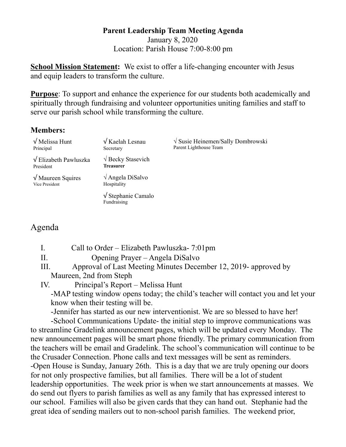## **Parent Leadership Team Meeting Agenda**  January 8, 2020 Location: Parish House 7:00-8:00 pm

**School Mission Statement:** We exist to offer a life-changing encounter with Jesus and equip leaders to transform the culture.

**Purpose**: To support and enhance the experience for our students both academically and spiritually through fundraising and volunteer opportunities uniting families and staff to serve our parish school while transforming the culture.

## **Members:**

| $\sqrt{\text{Melissa Hunt}}$<br>Principal                | $\sqrt{K$ aelah Lesnau<br>Secretary                 | $\sqrt{\text{S}$ usie Heinemen/Sally Dombrowski<br>Parent Lighthouse Team |
|----------------------------------------------------------|-----------------------------------------------------|---------------------------------------------------------------------------|
| $\sqrt{\text{Elizabeth} \text{ Pawluszka}}$<br>President | $\sqrt{\text{Becky}}$ Stasevich<br><b>Treasurer</b> |                                                                           |
| $\sqrt{\text{Maureen} }$ Squires<br>Vice President       | $\sqrt{\text{Angle}}$ DiSalvo<br>Hospitality        |                                                                           |
|                                                          | $\sqrt{\text{Stephanie} }$ Camalo<br>Fundraising    |                                                                           |

## Agenda

- I. Call to Order Elizabeth Pawluszka- 7:01pm
- II. Opening Prayer Angela DiSalvo
- III. Approval of Last Meeting Minutes December 12, 2019- approved by Maureen, 2nd from Steph
- IV. Principal's Report Melissa Hunt

 -MAP testing window opens today; the child's teacher will contact you and let your know when their testing will be.

-Jennifer has started as our new interventionist. We are so blessed to have her!

 -School Communications Update- the initial step to improve communications was to streamline Gradelink announcement pages, which will be updated every Monday. The new announcement pages will be smart phone friendly. The primary communication from the teachers will be email and Gradelink. The school's communication will continue to be the Crusader Connection. Phone calls and text messages will be sent as reminders. -Open House is Sunday, January 26th. This is a day that we are truly opening our doors for not only prospective families, but all families. There will be a lot of student leadership opportunities. The week prior is when we start announcements at masses. We do send out flyers to parish families as well as any family that has expressed interest to our school. Families will also be given cards that they can hand out. Stephanie had the great idea of sending mailers out to non-school parish families. The weekend prior,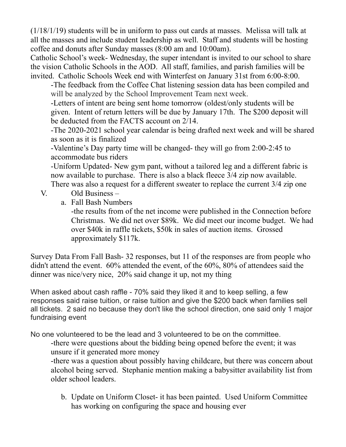(1/18/1/19) students will be in uniform to pass out cards at masses. Melissa will talk at all the masses and include student leadership as well. Staff and students will be hosting coffee and donuts after Sunday masses (8:00 am and 10:00am).

Catholic School's week- Wednesday, the super intendant is invited to our school to share the vision Catholic Schools in the AOD. All staff, families, and parish families will be invited. Catholic Schools Week end with Winterfest on January 31st from 6:00-8:00.

 -The feedback from the Coffee Chat listening session data has been compiled and will be analyzed by the School Improvement Team next week.

 -Letters of intent are being sent home tomorrow (oldest/only students will be given. Intent of return letters will be due by January 17th. The \$200 deposit will be deducted from the FACTS account on 2/14.

 -The 2020-2021 school year calendar is being drafted next week and will be shared as soon as it is finalized

 -Valentine's Day party time will be changed- they will go from 2:00-2:45 to accommodate bus riders

 -Uniform Updated- New gym pant, without a tailored leg and a different fabric is now available to purchase. There is also a black fleece 3/4 zip now available. There was also a request for a different sweater to replace the current 3/4 zip one

- V. Old Business
	- a. Fall Bash Numbers

 -the results from of the net income were published in the Connection before Christmas. We did net over \$89k. We did meet our income budget. We had over \$40k in raffle tickets, \$50k in sales of auction items. Grossed approximately \$117k.

Survey Data From Fall Bash- 32 responses, but 11 of the responses are from people who didn't attend the event. 60% attended the event, of the 60%, 80% of attendees said the dinner was nice/very nice, 20% said change it up, not my thing

When asked about cash raffle - 70% said they liked it and to keep selling, a few responses said raise tuition, or raise tuition and give the \$200 back when families sell all tickets. 2 said no because they don't like the school direction, one said only 1 major fundraising event

No one volunteered to be the lead and 3 volunteered to be on the committee.

 -there were questions about the bidding being opened before the event; it was unsure if it generated more money

 -there was a question about possibly having childcare, but there was concern about alcohol being served. Stephanie mention making a babysitter availability list from older school leaders.

b. Update on Uniform Closet- it has been painted. Used Uniform Committee has working on configuring the space and housing ever